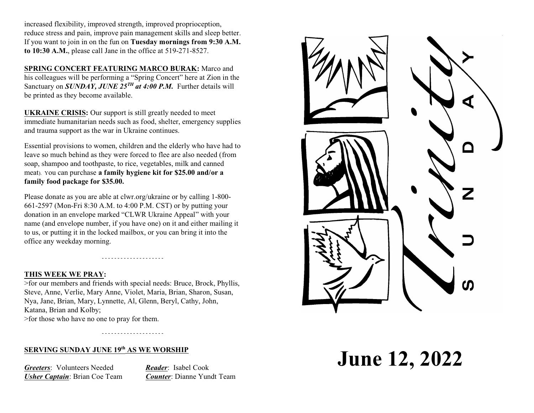increased flexibility, improved strength, improved proprioception, reduce stress and pain, improve pain management skills and sleep better. If you want to join in on the fun on **Tuesday mornings from 9:30 A.M. to 10:30 A.M.**, please call Jane in the office at 519-271-8527.

**SPRING CONCERT FEATURING MARCO BURAK:** Marco and his colleagues will be performing a "Spring Concert" here at Zion in the Sanctuary on *SUNDAY, JUNE 25<sup>TH</sup> at 4:00 P.M*. Further details will be printed as they become available.

**UKRAINE CRISIS:** Our support is still greatly needed to meet immediate humanitarian needs such as food, shelter, emergency supplies and trauma support as the war in Ukraine continues.

Essential provisions to women, children and the elderly who have had to leave so much behind as they were forced to flee are also needed (from soap, shampoo and toothpaste, to rice, vegetables, milk and canned meat). You can purchase **a family hygiene kit for \$25.00 and/or a family food package for \$35.00.**

Please donate as you are able at clwr.org/ukraine or by calling 1-800- 661-2597 (Mon-Fri 8:30 A.M. to 4:00 P.M. CST) or by putting your donation in an envelope marked "CLWR Ukraine Appeal" with your name (and envelope number, if you have one) on it and either mailing it to us, or putting it in the locked mailbox, or you can bring it into the office any weekday morning.

- - - - - - - - - - - - - - - - - - - -

## **THIS WEEK WE PRAY:**

>for our members and friends with special needs: Bruce, Brock, Phyllis, Steve, Anne, Verlie, Mary Anne, Violet, Maria, Brian, Sharon, Susan, Nya, Jane, Brian, Mary, Lynnette, Al, Glenn, Beryl, Cathy, John, Katana, Brian and Kolby; >for those who have no one to pray for them.

- - - - - - - - - - - - - - - - - - - -

## **SERVING SUNDAY JUNE 19th AS WE WORSHIP**

*Greeters*: Volunteers Needed *Reader*: Isabel Cook *Usher Captain*: Brian Coe Team *Counter*: Dianne Yundt Team



**June 12, 2022**